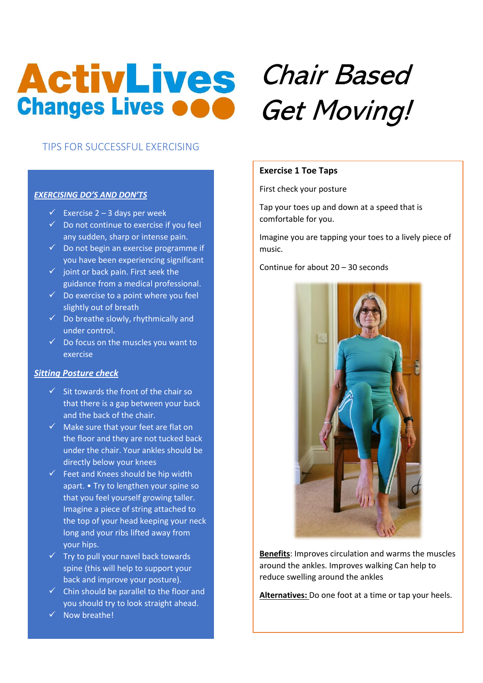## **ActivLives Changes Lives OOO**

### TIPS FOR SUCCESSFUL EXERCISING

#### *EXERCISING DO'S AND DON'TS*

- $\checkmark$  Exercise 2 3 days per week
- $\checkmark$  Do not continue to exercise if you feel any sudden, sharp or intense pain.
- $\checkmark$  Do not begin an exercise programme if you have been experiencing significant
- $\checkmark$  joint or back pain. First seek the guidance from a medical professional.
- $\checkmark$  Do exercise to a point where you feel slightly out of breath
- $\checkmark$  Do breathe slowly, rhythmically and under control.
- $\checkmark$  Do focus on the muscles you want to exercise

#### *Sitting Posture check*

- $\checkmark$  Sit towards the front of the chair so that there is a gap between your back and the back of the chair.
- $\checkmark$  Make sure that your feet are flat on the floor and they are not tucked back under the chair. Your ankles should be directly below your knees
- $\checkmark$  Feet and Knees should be hip width apart. • Try to lengthen your spine so that you feel yourself growing taller. Imagine a piece of string attached to the top of your head keeping your neck long and your ribs lifted away from your hips.
- $\checkmark$  Try to pull your navel back towards spine (this will help to support your back and improve your posture).
- $\checkmark$  Chin should be parallel to the floor and you should try to look straight ahead.
- ✓ Now breathe!

# Chair Based Get Moving!

#### **Exercise 1 Toe Taps**

First check your posture

Tap your toes up and down at a speed that is comfortable for you.

Imagine you are tapping your toes to a lively piece of music.

Continue for about 20 – 30 seconds



**Benefits**: Improves circulation and warms the muscles around the ankles. Improves walking Can help to reduce swelling around the ankles

**Alternatives:** Do one foot at a time or tap your heels.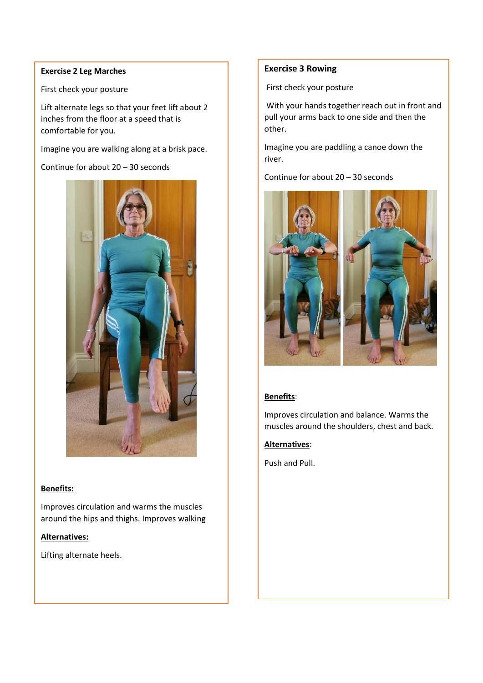#### **Exercise 2 Leg Marches**

First check your posture

Lift alternate legs so that your feet lift about 2 inches from the floor at a speed that is comfortable for you.

Imagine you are walking along at a brisk pace.

Continue for about 20 – 30 seconds



#### **Benefits:**

Improves circulation and warms the muscles around the hips and thighs. Improves walking

#### **Alternatives:**

Lifting alternate heels.

#### **Exercise 3 Rowing**

First check your posture

With your hands together reach out in front and pull your arms back to one side and then the other.

Imagine you are paddling a canoe down the river.

Continue for about 20 – 30 seconds



#### **Benefits**:

Improves circulation and balance. Warms the muscles around the shoulders, chest and back.

#### **Alternatives**:

Push and Pull.